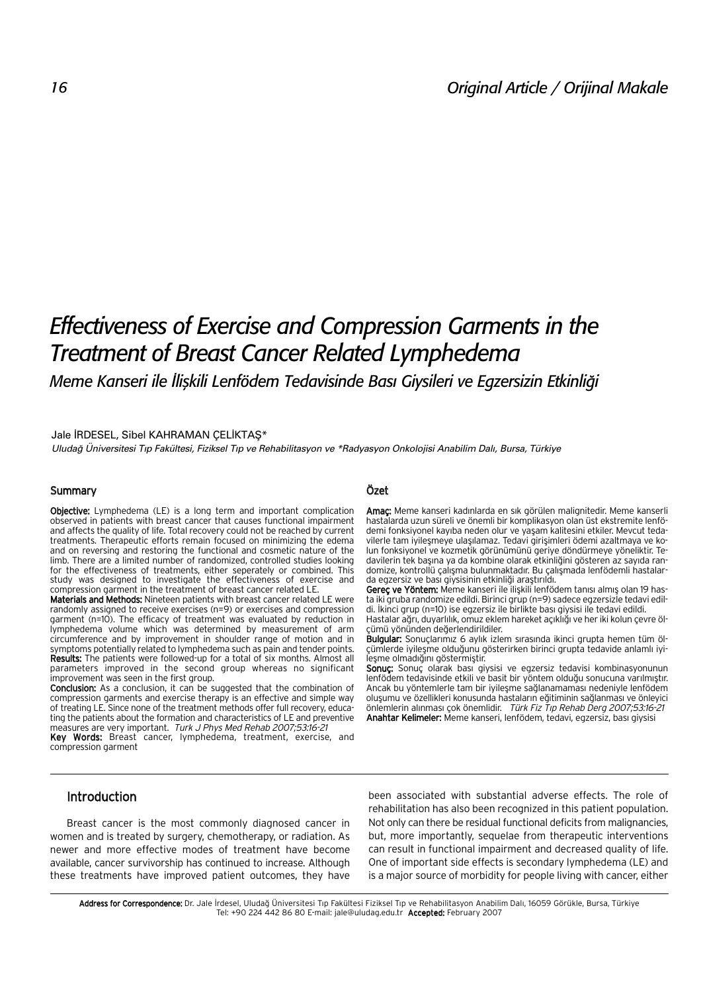# *Effectiveness of Exercise and Compression Garments in the Treatment of Breast Cancer Related Lymphedema*

*Meme Kanseri ile İliskili Lenfödem Tedavisinde Bası Givsileri ve Egzersizin Etkinliği* 

#### Jale İRDESEL, Sibel KAHRAMAN ÇELİKTAŞ\*

*Uluda¤ Üniversitesi T›p Fakültesi, Fiziksel T›p ve Rehabilitasyon ve \*Radyasyon Onkolojisi Anabilim Dal›, Bursa, Türkiye*

## Summary

**Objective:** Lymphedema (LE) is a long term and important complication observed in patients with breast cancer that causes functional impairment and affects the quality of life. Total recovery could not be reached by current treatments. Therapeutic efforts remain focused on minimizing the edema and on reversing and restoring the functional and cosmetic nature of the limb. There are a limited number of randomized, controlled studies looking for the effectiveness of treatments, either seperately or combined. This study was designed to investigate the effectiveness of exercise and compression garment in the treatment of breast cancer related LE.

Materials and Methods: Nineteen patients with breast cancer related LE were randomly assigned to receive exercises (n=9) or exercises and compression garment (n=10). The efficacy of treatment was evaluated by reduction in lymphedema volume which was determined by measurement of arm circumference and by improvement in shoulder range of motion and in symptoms potentially related to lymphedema such as pain and tender points. Results: The patients were followed-up for a total of six months. Almost all parameters improved in the second group whereas no significant improvement was seen in the first group.

Conclusion: As a conclusion, it can be suggested that the combination of compression garments and exercise therapy is an effective and simple way of treating LE. Since none of the treatment methods offer full recovery, educating the patients about the formation and characteristics of LE and preventive measures are very important. Turk J Phys Med Rehab 2007;53:16-21

Key Words: Breast cancer, lymphedema, treatment, exercise, and compression garment

# Özet

Amaç: Meme kanseri kadınlarda en sık görülen malignitedir. Meme kanserli hastalarda uzun süreli ve önemli bir komplikasyon olan üst ekstremite lenfödemi fonksiyonel kayıba neden olur ve yaşam kalitesini etkiler. Mevcut tedavilerle tam iyileşmeye ulaşılamaz. Tedavi girişimleri ödemi azaltmaya ve kolun fonksiyonel ve kozmetik görünümünü geriye döndürmeye yöneliktir. Tedavilerin tek başına ya da kombine olarak etkinliğini gösteren az sayıda randomize, kontrollü çalışma bulunmaktadır. Bu çalışmada lenfödemli hastalarda egzersiz ve bası giysisinin etkinliği araştırıldı.

Gereç ve Yöntem: Meme kanseri ile ilişkili lenfödem tanısı almış olan 19 hasta iki gruba randomize edildi. Birinci grup (n=9) sadece egzersizle tedavi edildi. İkinci grup (n=10) ise egzersiz ile birlikte bası giysisi ile tedavi edildi.

Hastalar ağrı, duyarlılık, omuz eklem hareket açıklığı ve her iki kolun çevre ölçümü yönünden de¤erlendirildiler.

Bulgular: Sonuçlarımız 6 aylık izlem sırasında ikinci grupta hemen tüm ölçümlerde iyileşme olduğunu gösterirken birinci grupta tedavide anlamlı iyilesme olmadığını göstermiştir.

Sonuç: Sonuç olarak bası giysisi ve egzersiz tedavisi kombinasyonunun lenfödem tedavisinde etkili ve basit bir yöntem olduğu sonucuna varılmıştır. Ancak bu yöntemlerle tam bir ivilesme sağlanamaması nedeniyle lenfödem oluşumu ve özellikleri konusunda hastaların eğitiminin sağlanması ve önleyici önlemlerin alınması çok önemlidir. Türk Fiz Tıp Rehab Derg 2007;53:16-21 Anahtar Kelimeler: Meme kanseri, lenfödem, tedavi, egzersiz, bası giysisi

## Introduction

Breast cancer is the most commonly diagnosed cancer in women and is treated by surgery, chemotherapy, or radiation. As newer and more effective modes of treatment have become available, cancer survivorship has continued to increase. Although these treatments have improved patient outcomes, they have been associated with substantial adverse effects. The role of rehabilitation has also been recognized in this patient population. Not only can there be residual functional deficits from malignancies, but, more importantly, sequelae from therapeutic interventions can result in functional impairment and decreased quality of life. One of important side effects is secondary lymphedema (LE) and is a major source of morbidity for people living with cancer, either

Address for Correspondence: Dr. Jale İrdesel, Uludağ Üniversitesi Tıp Fakültesi Fiziksel Tıp ve Rehabilitasyon Anabilim Dalı, 16059 Görükle, Bursa, Türkiye Tel: +90 224 442 86 80 E-mail: jale@uludag.edu.tr Accepted: February 2007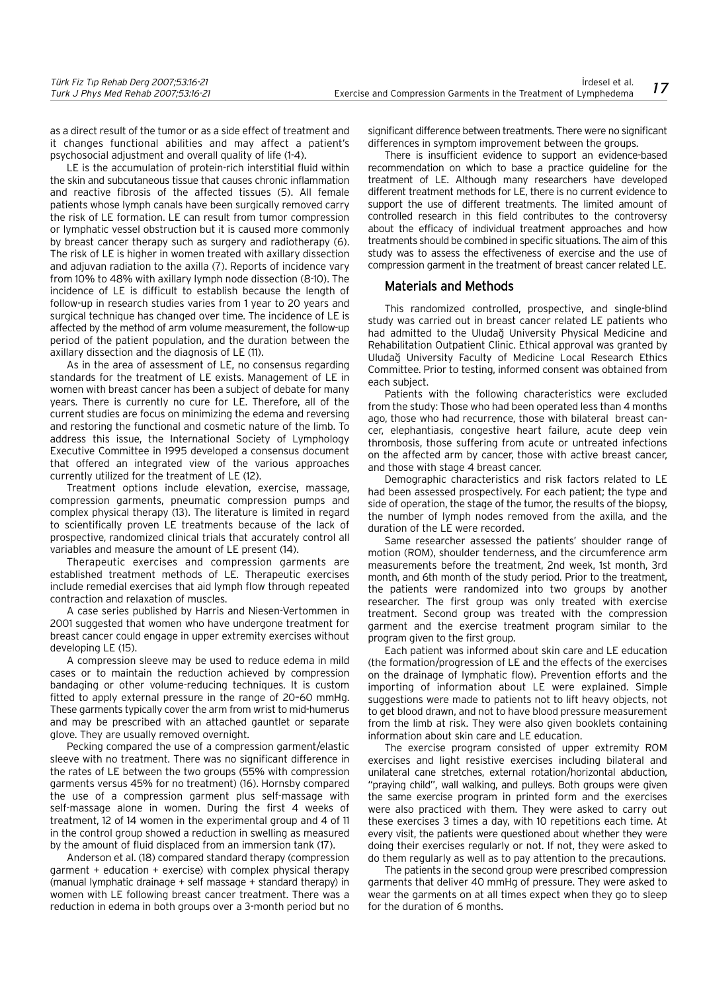as a direct result of the tumor or as a side effect of treatment and it changes functional abilities and may affect a patient's psychosocial adjustment and overall quality of life (1-4).

LE is the accumulation of protein-rich interstitial fluid within the skin and subcutaneous tissue that causes chronic inflammation and reactive fibrosis of the affected tissues (5). All female patients whose lymph canals have been surgically removed carry the risk of LE formation. LE can result from tumor compression or lymphatic vessel obstruction but it is caused more commonly by breast cancer therapy such as surgery and radiotherapy (6). The risk of LE is higher in women treated with axillary dissection and adjuvan radiation to the axilla (7). Reports of incidence vary from 10% to 48% with axillary lymph node dissection (8-10). The incidence of LE is difficult to establish because the length of follow-up in research studies varies from 1 year to 20 years and surgical technique has changed over time. The incidence of LE is affected by the method of arm volume measurement, the follow-up period of the patient population, and the duration between the axillary dissection and the diagnosis of LE (11).

As in the area of assessment of LE, no consensus regarding standards for the treatment of LE exists. Management of LE in women with breast cancer has been a subject of debate for many years. There is currently no cure for LE. Therefore, all of the current studies are focus on minimizing the edema and reversing and restoring the functional and cosmetic nature of the limb. To address this issue, the International Society of Lymphology Executive Committee in 1995 developed a consensus document that offered an integrated view of the various approaches currently utilized for the treatment of LE (12).

Treatment options include elevation, exercise, massage, compression garments, pneumatic compression pumps and complex physical therapy (13). The literature is limited in regard to scientifically proven LE treatments because of the lack of prospective, randomized clinical trials that accurately control all variables and measure the amount of LE present (14).

Therapeutic exercises and compression garments are established treatment methods of LE. Therapeutic exercises include remedial exercises that aid lymph flow through repeated contraction and relaxation of muscles.

A case series published by Harris and Niesen-Vertommen in 2001 suggested that women who have undergone treatment for breast cancer could engage in upper extremity exercises without developing LE (15).

A compression sleeve may be used to reduce edema in mild cases or to maintain the reduction achieved by compression bandaging or other volume-reducing techniques. It is custom fitted to apply external pressure in the range of 20–60 mmHg. These garments typically cover the arm from wrist to mid-humerus and may be prescribed with an attached gauntlet or separate glove. They are usually removed overnight.

Pecking compared the use of a compression garment/elastic sleeve with no treatment. There was no significant difference in the rates of LE between the two groups (55% with compression garments versus 45% for no treatment) (16). Hornsby compared the use of a compression garment plus self-massage with self-massage alone in women. During the first 4 weeks of treatment, 12 of 14 women in the experimental group and 4 of 11 in the control group showed a reduction in swelling as measured by the amount of fluid displaced from an immersion tank (17).

Anderson et al. (18) compared standard therapy (compression garment + education + exercise) with complex physical therapy (manual lymphatic drainage + self massage + standard therapy) in women with LE following breast cancer treatment. There was a reduction in edema in both groups over a 3-month period but no significant difference between treatments. There were no significant differences in symptom improvement between the groups.

There is insufficient evidence to support an evidence-based recommendation on which to base a practice guideline for the treatment of LE. Although many researchers have developed different treatment methods for LE, there is no current evidence to support the use of different treatments. The limited amount of controlled research in this field contributes to the controversy about the efficacy of individual treatment approaches and how treatments should be combined in specific situations. The aim of this study was to assess the effectiveness of exercise and the use of compression garment in the treatment of breast cancer related LE.

## Materials and Methods

This randomized controlled, prospective, and single-blind study was carried out in breast cancer related LE patients who had admitted to the Uludağ University Physical Medicine and Rehabilitation Outpatient Clinic. Ethical approval was granted by Uluda¤ University Faculty of Medicine Local Research Ethics Committee. Prior to testing, informed consent was obtained from each subject.

Patients with the following characteristics were excluded from the study: Those who had been operated less than 4 months ago, those who had recurrence, those with bilateral breast cancer, elephantiasis, congestive heart failure, acute deep vein thrombosis, those suffering from acute or untreated infections on the affected arm by cancer, those with active breast cancer, and those with stage 4 breast cancer.

Demographic characteristics and risk factors related to LE had been assessed prospectively. For each patient; the type and side of operation, the stage of the tumor, the results of the biopsy, the number of lymph nodes removed from the axilla, and the duration of the LE were recorded.

Same researcher assessed the patients' shoulder range of motion (ROM), shoulder tenderness, and the circumference arm measurements before the treatment, 2nd week, 1st month, 3rd month, and 6th month of the study period. Prior to the treatment, the patients were randomized into two groups by another researcher. The first group was only treated with exercise treatment. Second group was treated with the compression garment and the exercise treatment program similar to the program given to the first group.

Each patient was informed about skin care and LE education (the formation/progression of LE and the effects of the exercises on the drainage of lymphatic flow). Prevention efforts and the importing of information about LE were explained. Simple suggestions were made to patients not to lift heavy objects, not to get blood drawn, and not to have blood pressure measurement from the limb at risk. They were also given booklets containing information about skin care and LE education.

The exercise program consisted of upper extremity ROM exercises and light resistive exercises including bilateral and unilateral cane stretches, external rotation/horizontal abduction, "praying child", wall walking, and pulleys. Both groups were given the same exercise program in printed form and the exercises were also practiced with them. They were asked to carry out these exercises 3 times a day, with 10 repetitions each time. At every visit, the patients were questioned about whether they were doing their exercises regularly or not. If not, they were asked to do them regularly as well as to pay attention to the precautions.

The patients in the second group were prescribed compression garments that deliver 40 mmHg of pressure. They were asked to wear the garments on at all times expect when they go to sleep for the duration of 6 months.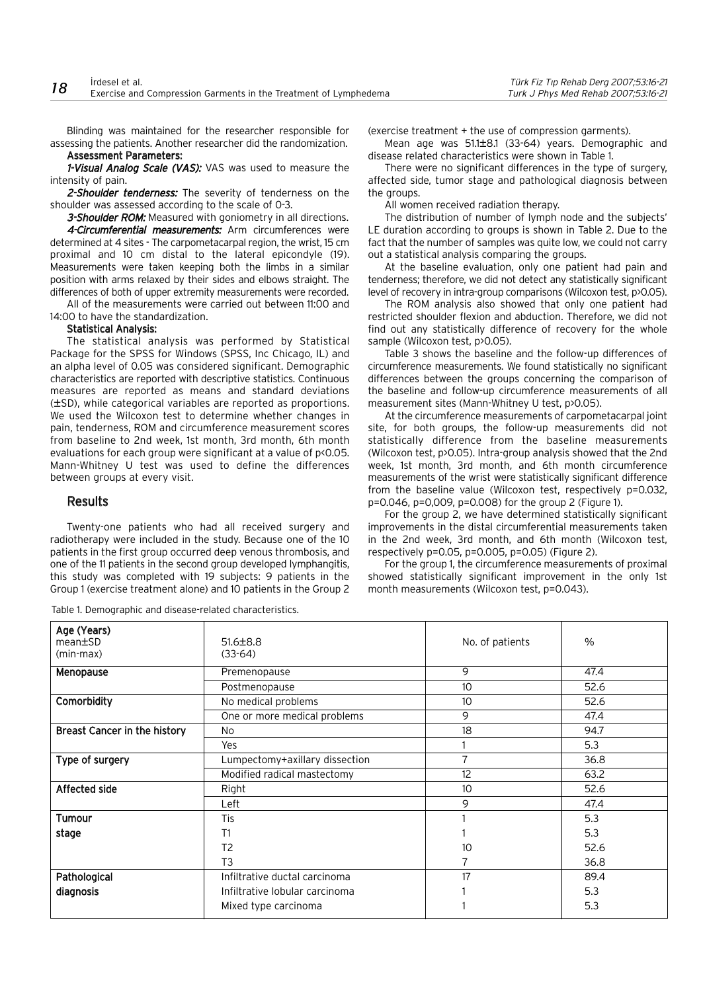Blinding was maintained for the researcher responsible for assessing the patients. Another researcher did the randomization. Assessment Parameters:

1-Visual Analog Scale (VAS): VAS was used to measure the intensity of pain.

2-Shoulder tenderness: The severity of tenderness on the shoulder was assessed according to the scale of 0-3.

3-Shoulder ROM: Measured with goniometry in all directions. 4-Circumferential measurements: Arm circumferences were determined at 4 sites - The carpometacarpal region, the wrist, 15 cm proximal and 10 cm distal to the lateral epicondyle (19). Measurements were taken keeping both the limbs in a similar position with arms relaxed by their sides and elbows straight. The differences of both of upper extremity measurements were recorded.

All of the measurements were carried out between 11:00 and 14:00 to have the standardization.

## Statistical Analysis:

The statistical analysis was performed by Statistical Package for the SPSS for Windows (SPSS, Inc Chicago, IL) and an alpha level of 0.05 was considered significant. Demographic characteristics are reported with descriptive statistics. Continuous measures are reported as means and standard deviations (±SD), while categorical variables are reported as proportions. We used the Wilcoxon test to determine whether changes in pain, tenderness, ROM and circumference measurement scores from baseline to 2nd week, 1st month, 3rd month, 6th month evaluations for each group were significant at a value of p<0.05. Mann-Whitney U test was used to define the differences between groups at every visit.

## Results

Twenty-one patients who had all received surgery and radiotherapy were included in the study. Because one of the 10 patients in the first group occurred deep venous thrombosis, and one of the 11 patients in the second group developed lymphangitis, this study was completed with 19 subjects: 9 patients in the Group 1 (exercise treatment alone) and 10 patients in the Group 2

Table 1. Demographic and disease-related characteristics.

(exercise treatment + the use of compression garments).

Mean age was 51.1±8.1 (33-64) years. Demographic and disease related characteristics were shown in Table 1.

There were no significant differences in the type of surgery, affected side, tumor stage and pathological diagnosis between the groups.

All women received radiation therapy.

The distribution of number of lymph node and the subjects' LE duration according to groups is shown in Table 2. Due to the fact that the number of samples was quite low, we could not carry out a statistical analysis comparing the groups.

At the baseline evaluation, only one patient had pain and tenderness; therefore, we did not detect any statistically significant level of recovery in intra-group comparisons (Wilcoxon test, p>0.05).

The ROM analysis also showed that only one patient had restricted shoulder flexion and abduction. Therefore, we did not find out any statistically difference of recovery for the whole sample (Wilcoxon test, p>0.05).

Table 3 shows the baseline and the follow-up differences of circumference measurements. We found statistically no significant differences between the groups concerning the comparison of the baseline and follow-up circumference measurements of all measurement sites (Mann-Whitney U test, p>0.05).

At the circumference measurements of carpometacarpal joint site, for both groups, the follow-up measurements did not statistically difference from the baseline measurements (Wilcoxon test, p>0.05). Intra-group analysis showed that the 2nd week, 1st month, 3rd month, and 6th month circumference measurements of the wrist were statistically significant difference from the baseline value (Wilcoxon test, respectively p=0.032, p=0.046, p=0,009, p=0.008) for the group 2 (Figure 1).

For the group 2, we have determined statistically significant improvements in the distal circumferential measurements taken in the 2nd week, 3rd month, and 6th month (Wilcoxon test, respectively p=0.05, p=0.005, p=0.05) (Figure 2).

For the group 1, the circumference measurements of proximal showed statistically significant improvement in the only 1st month measurements (Wilcoxon test, p=0.043).

| Age (Years)<br>mean±SD<br>(min-max) | $51.6 \pm 8.8$<br>$(33-64)$    | No. of patients | $\%$ |
|-------------------------------------|--------------------------------|-----------------|------|
| Menopause                           | Premenopause                   | 9               | 47.4 |
|                                     | Postmenopause                  | 10              | 52.6 |
| Comorbidity                         | No medical problems            | 10              | 52.6 |
|                                     | One or more medical problems   | 9               | 47.4 |
| <b>Breast Cancer in the history</b> | No                             | 18              | 94.7 |
|                                     | Yes                            |                 | 5.3  |
| Type of surgery                     | Lumpectomy+axillary dissection | 7               | 36.8 |
|                                     | Modified radical mastectomy    | 12              | 63.2 |
| Affected side                       | Right                          | 10              | 52.6 |
|                                     | Left                           | 9               | 47.4 |
| Tumour                              | Tis                            |                 | 5.3  |
| stage                               | T1                             |                 | 5.3  |
|                                     | T <sub>2</sub>                 | 10              | 52.6 |
|                                     | T <sub>3</sub>                 | 7               | 36.8 |
| Pathological                        | Infiltrative ductal carcinoma  | 17              | 89.4 |
| diagnosis                           | Infiltrative lobular carcinoma |                 | 5.3  |
|                                     | Mixed type carcinoma           |                 | 5.3  |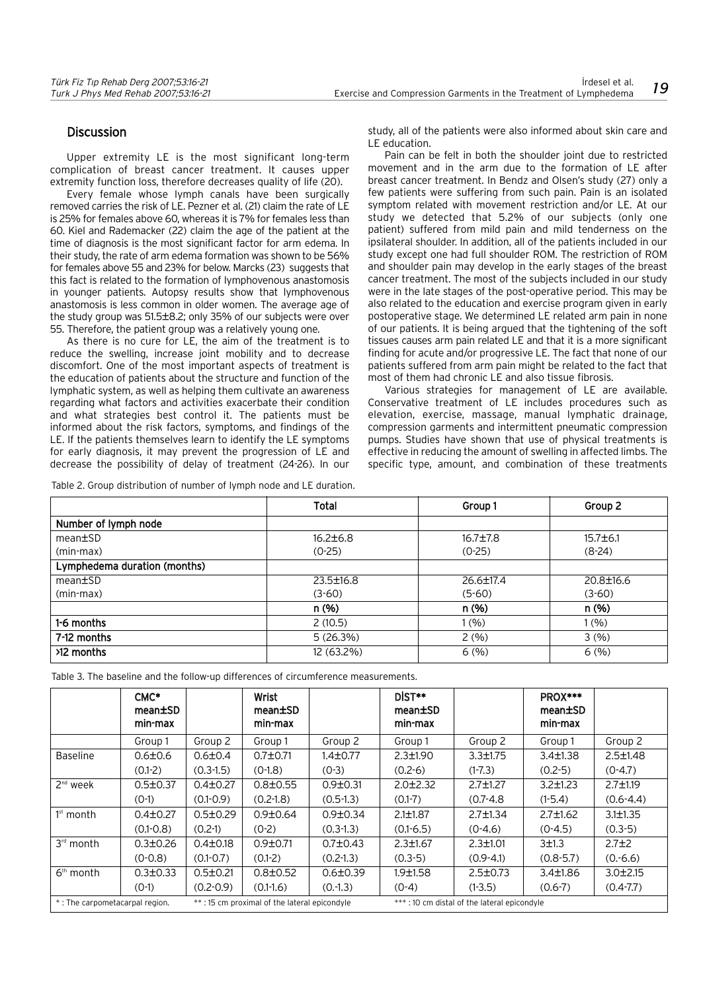# **Discussion**

Upper extremity LE is the most significant long-term complication of breast cancer treatment. It causes upper extremity function loss, therefore decreases quality of life (20).

Every female whose lymph canals have been surgically removed carries the risk of LE. Pezner et al. (21) claim the rate of LE is 25% for females above 60, whereas it is 7% for females less than 60. Kiel and Rademacker (22) claim the age of the patient at the time of diagnosis is the most significant factor for arm edema. In their study, the rate of arm edema formation was shown to be 56% for females above 55 and 23% for below. Marcks (23) suggests that this fact is related to the formation of lymphovenous anastomosis in younger patients. Autopsy results show that lymphovenous anastomosis is less common in older women. The average age of the study group was 51.5±8.2; only 35% of our subjects were over 55. Therefore, the patient group was a relatively young one.

As there is no cure for LE, the aim of the treatment is to reduce the swelling, increase joint mobility and to decrease discomfort. One of the most important aspects of treatment is the education of patients about the structure and function of the lymphatic system, as well as helping them cultivate an awareness regarding what factors and activities exacerbate their condition and what strategies best control it. The patients must be informed about the risk factors, symptoms, and findings of the LE. If the patients themselves learn to identify the LE symptoms for early diagnosis, it may prevent the progression of LE and decrease the possibility of delay of treatment (24-26). In our

Table 2. Group distribution of number of lymph node and LE duration.

study, all of the patients were also informed about skin care and LE education.

Pain can be felt in both the shoulder joint due to restricted movement and in the arm due to the formation of LE after breast cancer treatment. In Bendz and Olsen's study (27) only a few patients were suffering from such pain. Pain is an isolated symptom related with movement restriction and/or LE. At our study we detected that 5.2% of our subjects (only one patient) suffered from mild pain and mild tenderness on the ipsilateral shoulder. In addition, all of the patients included in our study except one had full shoulder ROM. The restriction of ROM and shoulder pain may develop in the early stages of the breast cancer treatment. The most of the subjects included in our study were in the late stages of the post-operative period. This may be also related to the education and exercise program given in early postoperative stage. We determined LE related arm pain in none of our patients. It is being argued that the tightening of the soft tissues causes arm pain related LE and that it is a more significant finding for acute and/or progressive LE. The fact that none of our patients suffered from arm pain might be related to the fact that most of them had chronic LE and also tissue fibrosis.

Various strategies for management of LE are available. Conservative treatment of LE includes procedures such as elevation, exercise, massage, manual lymphatic drainage, compression garments and intermittent pneumatic compression pumps. Studies have shown that use of physical treatments is effective in reducing the amount of swelling in affected limbs. The specific type, amount, and combination of these treatments

|                              | Total           | Group 1        | Group 2        |
|------------------------------|-----------------|----------------|----------------|
| Number of lymph node         |                 |                |                |
| mean±SD                      | $16.2 \pm 6.8$  | $16.7 \pm 7.8$ | $15.7 \pm 6.1$ |
| (min-max)                    | $(0-25)$        | $(0-25)$       | $(8-24)$       |
| Lymphedema duration (months) |                 |                |                |
| mean±SD                      | $23.5 \pm 16.8$ | 26.6±17.4      | 20.8±16.6      |
| (min-max)                    | $(3-60)$        | $(5-60)$       | $(3-60)$       |
|                              | n(%)            | n(%)           | n(%)           |
| 1-6 months                   | 2(10.5)         | 1(%)           | 1(%)           |
| 7-12 months                  | 5(26.3%)        | 2(%)           | 3(%)           |
| >12 months                   | 12 (63.2%)      | 6(%)           | 6(%)           |

|                                | CMC*<br>mean±SD<br>min-max |                                              | Wrist<br>mean ESD<br>min-max |                                             | DIST**<br>mean±SD<br>min-max |                | PROX***<br>mean±SD<br>min-max |                |
|--------------------------------|----------------------------|----------------------------------------------|------------------------------|---------------------------------------------|------------------------------|----------------|-------------------------------|----------------|
|                                | Group 1                    | Group 2                                      | Group 1                      | Group 2                                     | Group 1                      | Group 2        | Group 1                       | Group 2        |
| <b>Baseline</b>                | $0.6 \pm 0.6$              | $0.6 \pm 0.4$                                | $0.7 \pm 0.71$               | $1.4 \pm 0.77$                              | $2.3 \pm 1.90$               | $3.3 \pm 1.75$ | $3.4 \pm 1.38$                | $2.5 \pm 1.48$ |
|                                | $(0.1-2)$                  | $(0.3-1.5)$                                  | $(0-1.8)$                    | $(0-3)$                                     | $(0.2-6)$                    | $(1-7.3)$      | $(0.2-5)$                     | $(0-4.7)$      |
| $2nd$ week                     | $0.5 \pm 0.37$             | $0.4 \pm 0.27$                               | $0.8 \pm 0.55$               | $0.9 \pm 0.31$                              | $2.0 \pm 2.32$               | $2.7 \pm 1.27$ | $3.2 \pm 1.23$                | $2.7 \pm 1.19$ |
|                                | $(O-1)$                    | $(0.1 - 0.9)$                                | $(0.2 - 1.8)$                | $(0.5-1.3)$                                 | $(0.1 - 7)$                  | $(0.7 - 4.8)$  | $(1-5.4)$                     | $(0.6 - 4.4)$  |
| $1st$ month                    | $0.4 \pm 0.27$             | $0.5 \pm 0.29$                               | $0.9 \pm 0.64$               | $0.9 \pm 0.34$                              | $2.1 \pm 1.87$               | $2.7 \pm 1.34$ | $2.7 \pm 1.62$                | $3.1 \pm 1.35$ |
|                                | $(0.1 - 0.8)$              | $(0.2-1)$                                    | $(0-2)$                      | $(0.3-1.3)$                                 | $(0.1 - 6.5)$                | $(0-4.6)$      | $(0-4.5)$                     | $(0.3-5)$      |
| $3rd$ month                    | $0.3 \pm 0.26$             | $0.4 \pm 0.18$                               | $0.9 \pm 0.71$               | $0.7 \pm 0.43$                              | $2.3 \pm 1.67$               | $2.3 \pm 1.01$ | 3±1.3                         | $2.7 + 2$      |
|                                | $(0-0.8)$                  | $(0.1 - 0.7)$                                | $(0.1-2)$                    | $(0.2-1.3)$                                 | $(0.3-5)$                    | $(0.9 - 4.1)$  | $(0.8 - 5.7)$                 | $(0.-6.6)$     |
| $6th$ month                    | $0.3 \pm 0.33$             | $0.5 \pm 0.21$                               | $0.8 \pm 0.52$               | $0.6 \pm 0.39$                              | 1.9±1.58                     | $2.5 \pm 0.73$ | $3.4 \pm 1.86$                | $3.0 \pm 2.15$ |
|                                | $(O-1)$                    | $(0.2 - 0.9)$                                | $(0.1-1.6)$                  | (0.13)                                      | $(0-4)$                      | $(1-3.5)$      | $(0.6-7)$                     | $(0.4 - 7.7)$  |
| *: The carpometacarpal region. |                            | **: 15 cm proximal of the lateral epicondyle |                              | ***: 10 cm distal of the lateral epicondyle |                              |                |                               |                |

Table 3. The baseline and the follow-up differences of circumference measurements.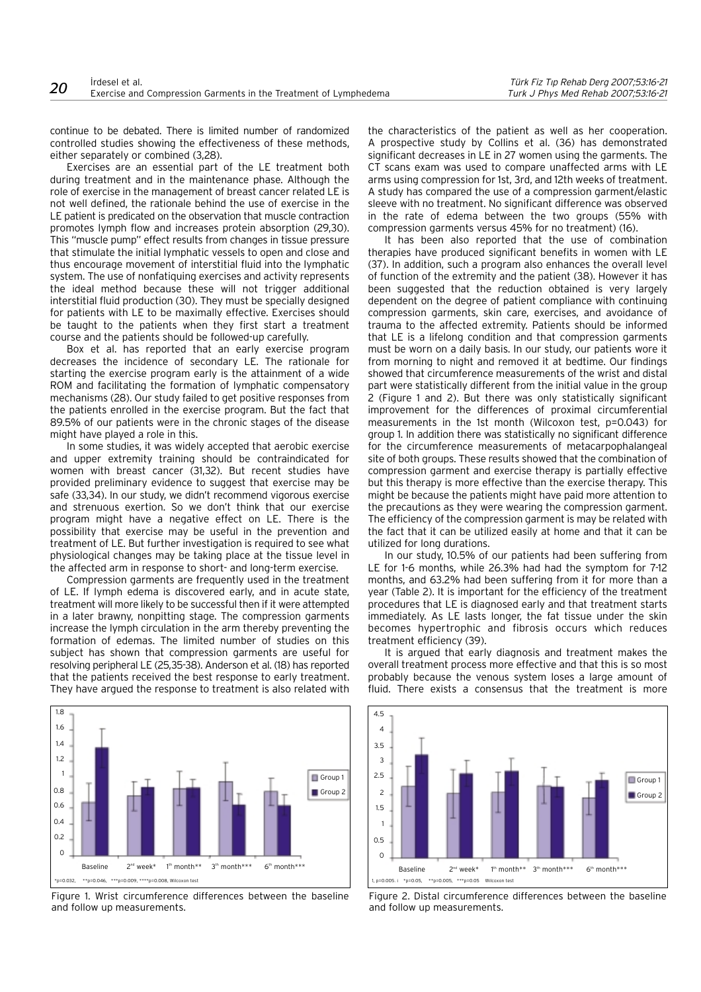continue to be debated. There is limited number of randomized controlled studies showing the effectiveness of these methods, either separately or combined (3,28).

Exercises are an essential part of the LE treatment both during treatment and in the maintenance phase. Although the role of exercise in the management of breast cancer related LE is not well defined, the rationale behind the use of exercise in the LE patient is predicated on the observation that muscle contraction promotes lymph flow and increases protein absorption (29,30). This "muscle pump" effect results from changes in tissue pressure that stimulate the initial lymphatic vessels to open and close and thus encourage movement of interstitial fluid into the lymphatic system. The use of nonfatiquing exercises and activity represents the ideal method because these will not trigger additional interstitial fluid production (30). They must be specially designed for patients with LE to be maximally effective. Exercises should be taught to the patients when they first start a treatment course and the patients should be followed-up carefully.

Box et al. has reported that an early exercise program decreases the incidence of secondary LE. The rationale for starting the exercise program early is the attainment of a wide ROM and facilitating the formation of lymphatic compensatory mechanisms (28). Our study failed to get positive responses from the patients enrolled in the exercise program. But the fact that 89.5% of our patients were in the chronic stages of the disease might have played a role in this.

In some studies, it was widely accepted that aerobic exercise and upper extremity training should be contraindicated for women with breast cancer (31,32). But recent studies have provided preliminary evidence to suggest that exercise may be safe (33,34). In our study, we didn't recommend vigorous exercise and strenuous exertion. So we don't think that our exercise program might have a negative effect on LE. There is the possibility that exercise may be useful in the prevention and treatment of LE. But further investigation is required to see what physiological changes may be taking place at the tissue level in the affected arm in response to short- and long-term exercise.

Compression garments are frequently used in the treatment of LE. If lymph edema is discovered early, and in acute state, treatment will more likely to be successful then if it were attempted in a later brawny, nonpitting stage. The compression garments increase the lymph circulation in the arm thereby preventing the formation of edemas. The limited number of studies on this subject has shown that compression garments are useful for resolving peripheral LE (25,35-38). Anderson et al. (18) has reported that the patients received the best response to early treatment. They have argued the response to treatment is also related with



Figure 1. Wrist circumference differences between the baseline and follow up measurements.

the characteristics of the patient as well as her cooperation. A prospective study by Collins et al. (36) has demonstrated significant decreases in LE in 27 women using the garments. The CT scans exam was used to compare unaffected arms with LE arms using compression for 1st, 3rd, and 12th weeks of treatment. A study has compared the use of a compression garment/elastic sleeve with no treatment. No significant difference was observed in the rate of edema between the two groups (55% with compression garments versus 45% for no treatment) (16).

It has been also reported that the use of combination therapies have produced significant benefits in women with LE (37). In addition, such a program also enhances the overall level of function of the extremity and the patient (38). However it has been suggested that the reduction obtained is very largely dependent on the degree of patient compliance with continuing compression garments, skin care, exercises, and avoidance of trauma to the affected extremity. Patients should be informed that LE is a lifelong condition and that compression garments must be worn on a daily basis. In our study, our patients wore it from morning to night and removed it at bedtime. Our findings showed that circumference measurements of the wrist and distal part were statistically different from the initial value in the group 2 (Figure 1 and 2). But there was only statistically significant improvement for the differences of proximal circumferential measurements in the 1st month (Wilcoxon test, p=0.043) for group 1. In addition there was statistically no significant difference for the circumference measurements of metacarpophalangeal site of both groups. These results showed that the combination of compression garment and exercise therapy is partially effective but this therapy is more effective than the exercise therapy. This might be because the patients might have paid more attention to the precautions as they were wearing the compression garment. The efficiency of the compression garment is may be related with the fact that it can be utilized easily at home and that it can be utilized for long durations.

In our study, 10.5% of our patients had been suffering from for 1-6 months, while 26.3% had had the symptom for 7-12 months, and 63.2% had been suffering from it for more than a year (Table 2). It is important for the efficiency of the treatment procedures that LE is diagnosed early and that treatment starts immediately. As LE lasts longer, the fat tissue under the skin becomes hypertrophic and fibrosis occurs which reduces treatment efficiency (39).

It is argued that early diagnosis and treatment makes the overall treatment process more effective and that this is so most probably because the venous system loses a large amount of fluid. There exists a consensus that the treatment is more



Figure 2. Distal circumference differences between the baseline and follow up measurements.